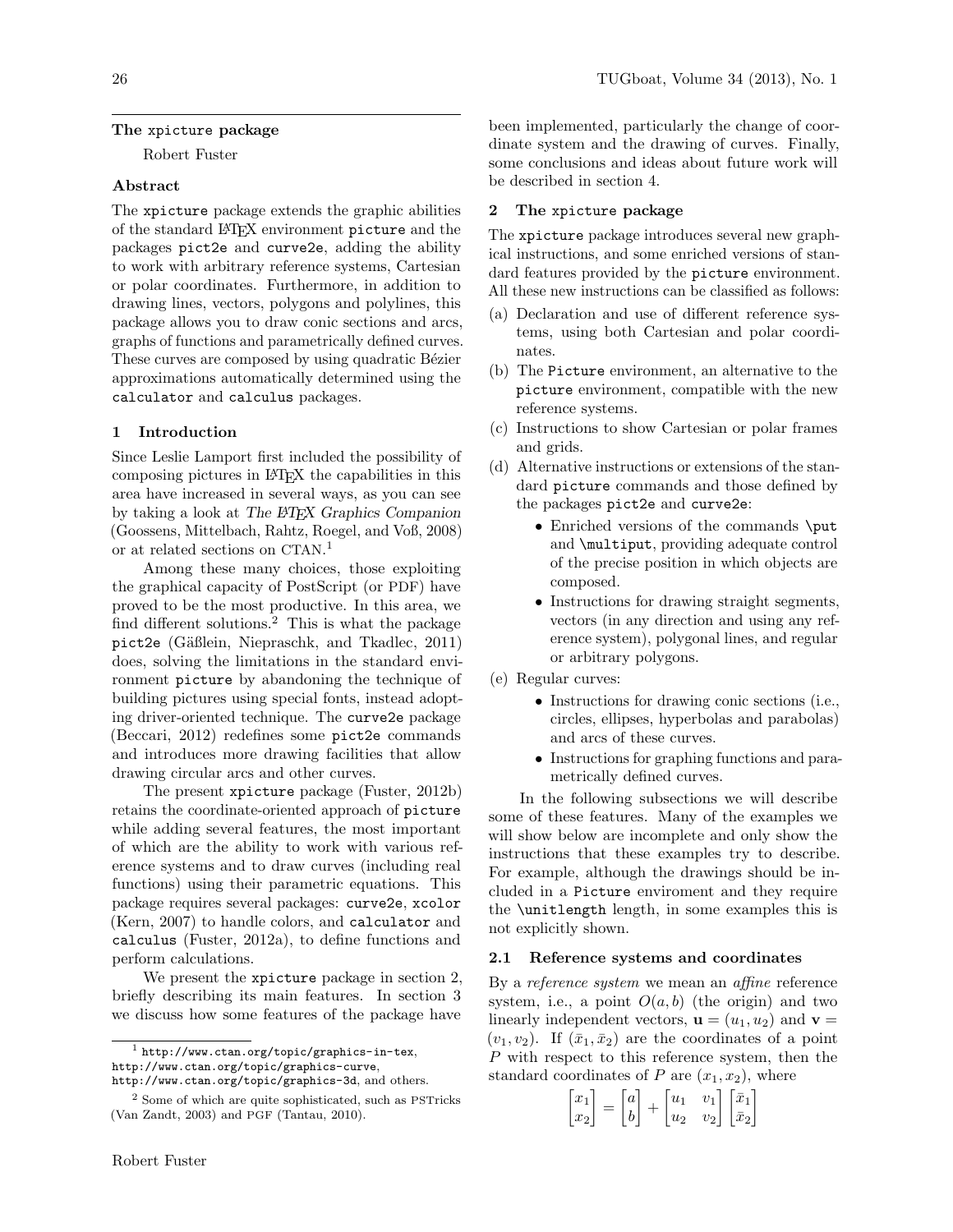## The xpicture package

Robert Fuster

# Abstract

The xpicture package extends the graphic abilities of the standard LATEX environment picture and the packages pict2e and curve2e, adding the ability to work with arbitrary reference systems, Cartesian or polar coordinates. Furthermore, in addition to drawing lines, vectors, polygons and polylines, this package allows you to draw conic sections and arcs, graphs of functions and parametrically defined curves. These curves are composed by using quadratic Bézier approximations automatically determined using the calculator and calculus packages.

## 1 Introduction

Since Leslie Lamport first included the possibility of composing pictures in LATEX the capabilities in this area have increased in several ways, as you can see by taking a look at The LATEX Graphics Companion (Goossens, Mittelbach, Rahtz, Roegel, and Voß, 2008) or at related sections on CTAN. 1

Among these many choices, those exploiting the graphical capacity of PostScript (or PDF) have proved to be the most productive. In this area, we find different solutions.<sup>2</sup> This is what the package pict2e (Gäßlein, Niepraschk, and Tkadlec, 2011) does, solving the limitations in the standard environment picture by abandoning the technique of building pictures using special fonts, instead adopting driver-oriented technique. The curve2e package (Beccari, 2012) redefines some pict2e commands and introduces more drawing facilities that allow drawing circular arcs and other curves.

The present xpicture package (Fuster, 2012b) retains the coordinate-oriented approach of picture while adding several features, the most important of which are the ability to work with various reference systems and to draw curves (including real functions) using their parametric equations. This package requires several packages: curve2e, xcolor (Kern, 2007) to handle colors, and calculator and calculus (Fuster, 2012a), to define functions and perform calculations.

We present the xpicture package in section 2, briefly describing its main features. In section 3 we discuss how some features of the package have

been implemented, particularly the change of coordinate system and the drawing of curves. Finally, some conclusions and ideas about future work will be described in section 4.

#### 2 The xpicture package

The xpicture package introduces several new graphical instructions, and some enriched versions of standard features provided by the picture environment. All these new instructions can be classified as follows:

- (a) Declaration and use of different reference systems, using both Cartesian and polar coordinates.
- (b) The Picture environment, an alternative to the picture environment, compatible with the new reference systems.
- (c) Instructions to show Cartesian or polar frames and grids.
- (d) Alternative instructions or extensions of the standard picture commands and those defined by the packages pict2e and curve2e:
	- Enriched versions of the commands \put and \multiput, providing adequate control of the precise position in which objects are composed.
	- Instructions for drawing straight segments, vectors (in any direction and using any reference system), polygonal lines, and regular or arbitrary polygons.
- (e) Regular curves:
	- Instructions for drawing conic sections (i.e., circles, ellipses, hyperbolas and parabolas) and arcs of these curves.
	- Instructions for graphing functions and parametrically defined curves.

In the following subsections we will describe some of these features. Many of the examples we will show below are incomplete and only show the instructions that these examples try to describe. For example, although the drawings should be included in a Picture enviroment and they require the \unitlength length, in some examples this is not explicitly shown.

#### 2.1 Reference systems and coordinates

By a *reference system* we mean an *affine* reference system, i.e., a point  $O(a, b)$  (the origin) and two linearly independent vectors,  $\mathbf{u} = (u_1, u_2)$  and  $\mathbf{v} =$  $(v_1, v_2)$ . If  $(\bar{x}_1, \bar{x}_2)$  are the coordinates of a point P with respect to this reference system, then the standard coordinates of P are  $(x_1, x_2)$ , where

$$
\begin{bmatrix} x_1 \\ x_2 \end{bmatrix} = \begin{bmatrix} a \\ b \end{bmatrix} + \begin{bmatrix} u_1 & v_1 \\ u_2 & v_2 \end{bmatrix} \begin{bmatrix} \bar{x}_1 \\ \bar{x}_2 \end{bmatrix}
$$

<sup>1</sup> http://www.ctan.org/topic/graphics-in-tex, http://www.ctan.org/topic/graphics-curve,

http://www.ctan.org/topic/graphics-3d, and others.

<sup>2</sup> Some of which are quite sophisticated, such as PSTricks (Van Zandt, 2003) and PGF (Tantau, 2010).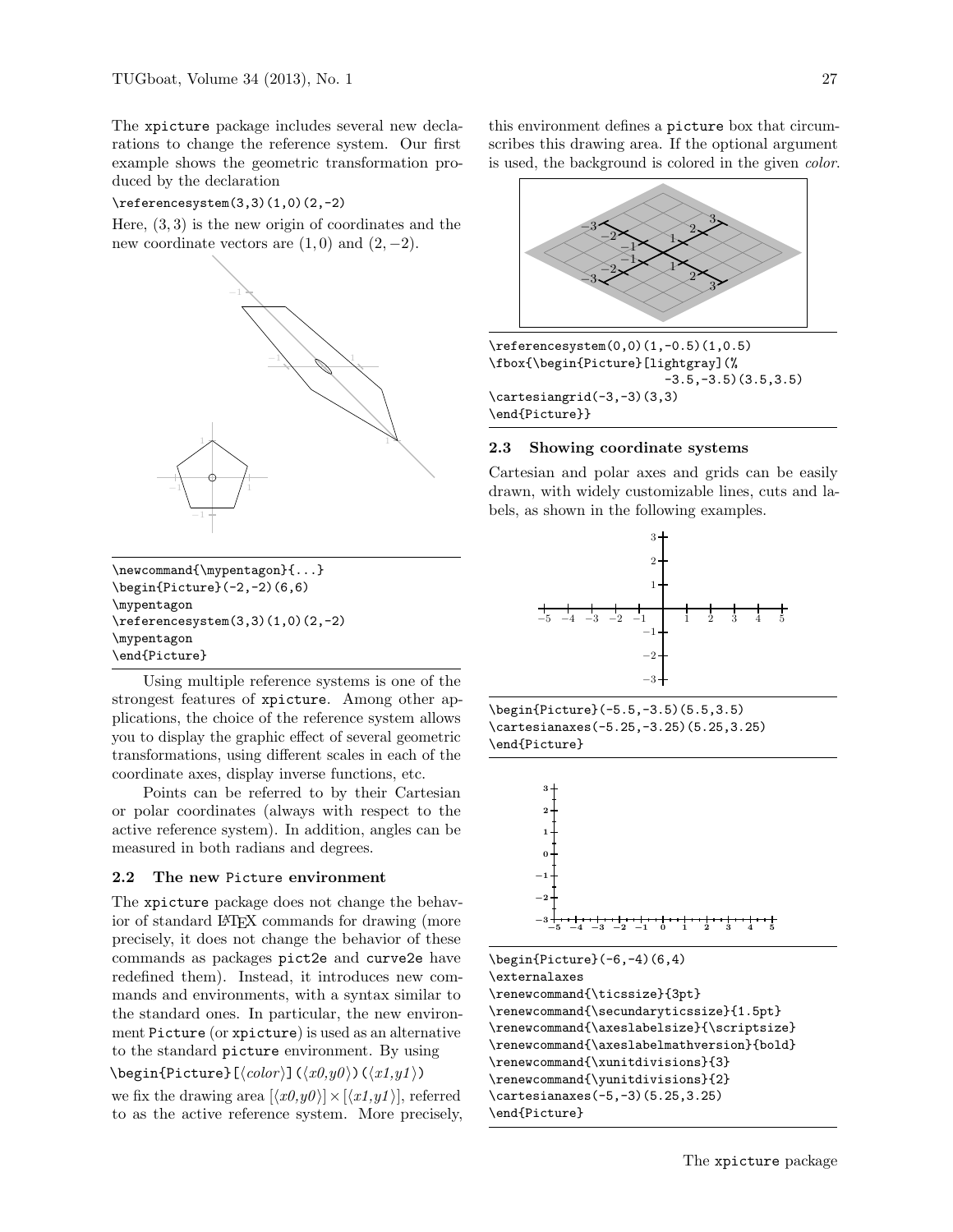The xpicture package includes several new declarations to change the reference system. Our first example shows the geometric transformation produced by the declaration

#### \referencesystem(3,3)(1,0)(2,-2)

Here,  $(3,3)$  is the new origin of coordinates and the new coordinate vectors are  $(1,0)$  and  $(2,-2)$ .



\newcommand{\mypentagon}{...}  $\begin{[}(-2,-2)(6,6)\end{[}$ \mypentagon  $\ref{erencesystem}(3,3)(1,0)(2,-2)$ \mypentagon \end{Picture}

Using multiple reference systems is one of the strongest features of xpicture. Among other applications, the choice of the reference system allows you to display the graphic effect of several geometric transformations, using different scales in each of the coordinate axes, display inverse functions, etc.

Points can be referred to by their Cartesian or polar coordinates (always with respect to the active reference system). In addition, angles can be measured in both radians and degrees.

#### 2.2 The new Picture environment

The xpicture package does not change the behavior of standard LATEX commands for drawing (more precisely, it does not change the behavior of these commands as packages pict2e and curve2e have redefined them). Instead, it introduces new commands and environments, with a syntax similar to the standard ones. In particular, the new environment Picture (or xpicture) is used as an alternative to the standard picture environment. By using

 $\begin{equation*} \begin{bmatrix} \langle color \rangle \end{bmatrix} (\langle x0, y0 \rangle) (\langle x1, y1 \rangle) \end{equation*}$ we fix the drawing area  $[\langle x0,y0 \rangle] \times [\langle x1,y1 \rangle]$ , referred to as the active reference system. More precisely, this environment defines a picture box that circumscribes this drawing area. If the optional argument is used, the background is colored in the given color.



\referencesystem(0,0)(1,-0.5)(1,0.5) \fbox{\begin{Picture}[lightgray](%  $-3.5,-3.5$  $(3.5,3.5)$ \cartesiangrid(-3,-3)(3,3) \end{Picture}}

#### 2.3 Showing coordinate systems

Cartesian and polar axes and grids can be easily drawn, with widely customizable lines, cuts and labels, as shown in the following examples.



\begin{Picture}(-5.5,-3.5)(5.5,3.5) \cartesianaxes(-5.25,-3.25)(5.25,3.25) \end{Picture}

−5 −4 −3 −2 −1 0 1 2 3 4 5 −3 −2 −1 0 1 2 3

\begin{Picture}(-6,-4)(6,4) \externalaxes \renewcommand{\ticssize}{3pt} \renewcommand{\secundaryticssize}{1.5pt} \renewcommand{\axeslabelsize}{\scriptsize} \renewcommand{\axeslabelmathversion}{bold} \renewcommand{\xunitdivisions}{3} \renewcommand{\yunitdivisions}{2} \cartesianaxes(-5,-3)(5.25,3.25) \end{Picture}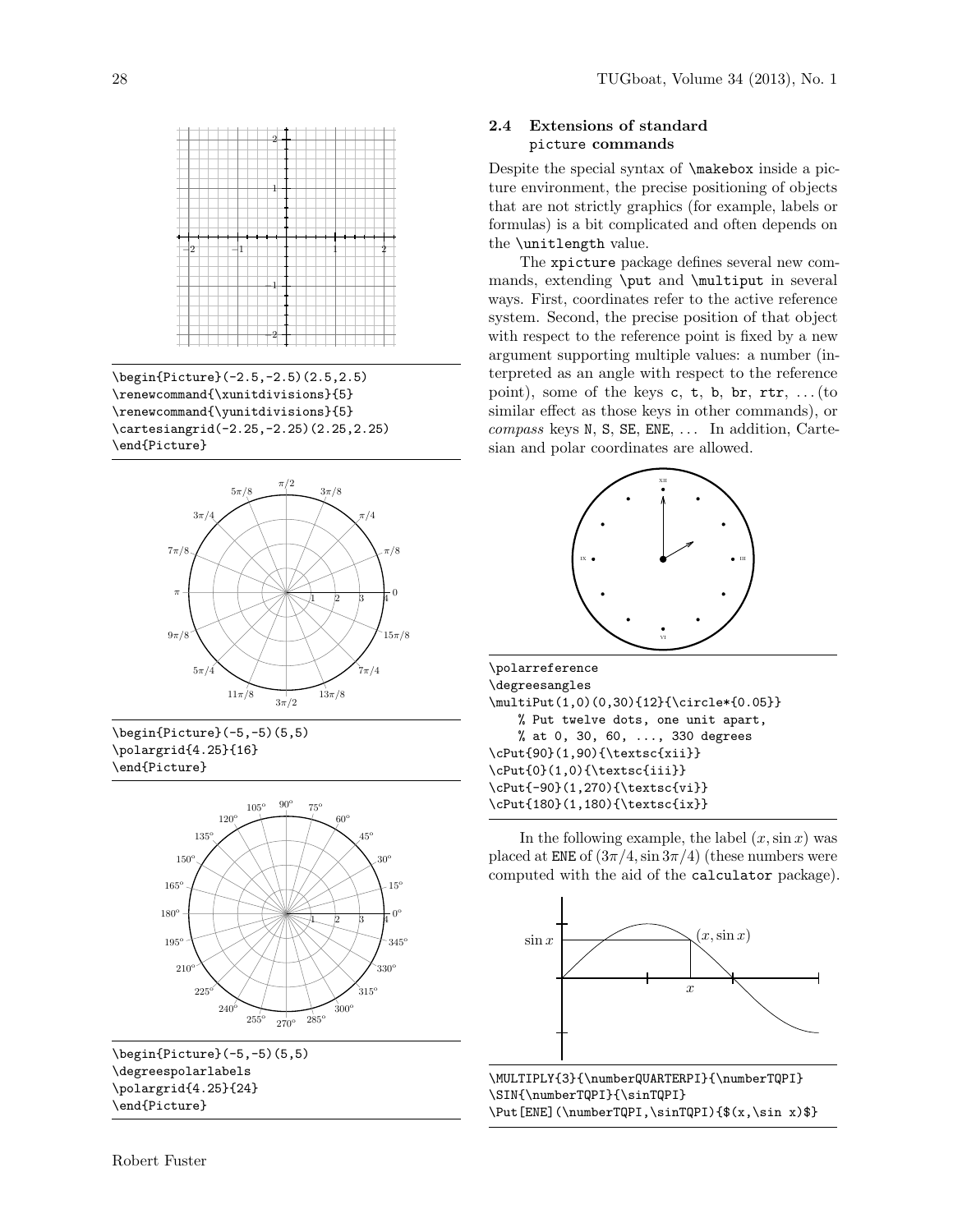

\begin{Picture}(-2.5,-2.5)(2.5,2.5) \renewcommand{\xunitdivisions}{5} \renewcommand{\yunitdivisions}{5} \cartesiangrid(-2.25,-2.25)(2.25,2.25) \end{Picture}







\begin{Picture}(-5,-5)(5,5) \degreespolarlabels \polargrid{4.25}{24} \end{Picture}

# 2.4 Extensions of standard picture commands

Despite the special syntax of \makebox inside a picture environment, the precise positioning of objects that are not strictly graphics (for example, labels or formulas) is a bit complicated and often depends on the \unitlength value.

The xpicture package defines several new commands, extending \put and \multiput in several ways. First, coordinates refer to the active reference system. Second, the precise position of that object with respect to the reference point is fixed by a new argument supporting multiple values: a number (interpreted as an angle with respect to the reference point), some of the keys  $c, t, b, br, rtr, ...$  (to similar effect as those keys in other commands), or  $compass$  keys N, S, SE, ENE,  $\dots$  In addition, Cartesian and polar coordinates are allowed.



\polarreference \degreesangles \multiPut(1,0)(0,30){12}{\circle\*{0.05}} % Put twelve dots, one unit apart, % at 0, 30, 60, ..., 330 degrees \cPut{90}(1,90){\textsc{xii}} \cPut{0}(1,0){\textsc{iii}} \cPut{-90}(1,270){\textsc{vi}} \cPut{180}(1,180){\textsc{ix}}

In the following example, the label  $(x, \sin x)$  was placed at ENE of  $\left(3\pi/4, \sin 3\pi/4\right)$  (these numbers were computed with the aid of the calculator package).



\MULTIPLY{3}{\numberQUARTERPI}{\numberTQPI} \SIN{\numberTQPI}{\sinTQPI} \Put[ENE](\numberTQPI,\sinTQPI){\$(x,\sin x)\$}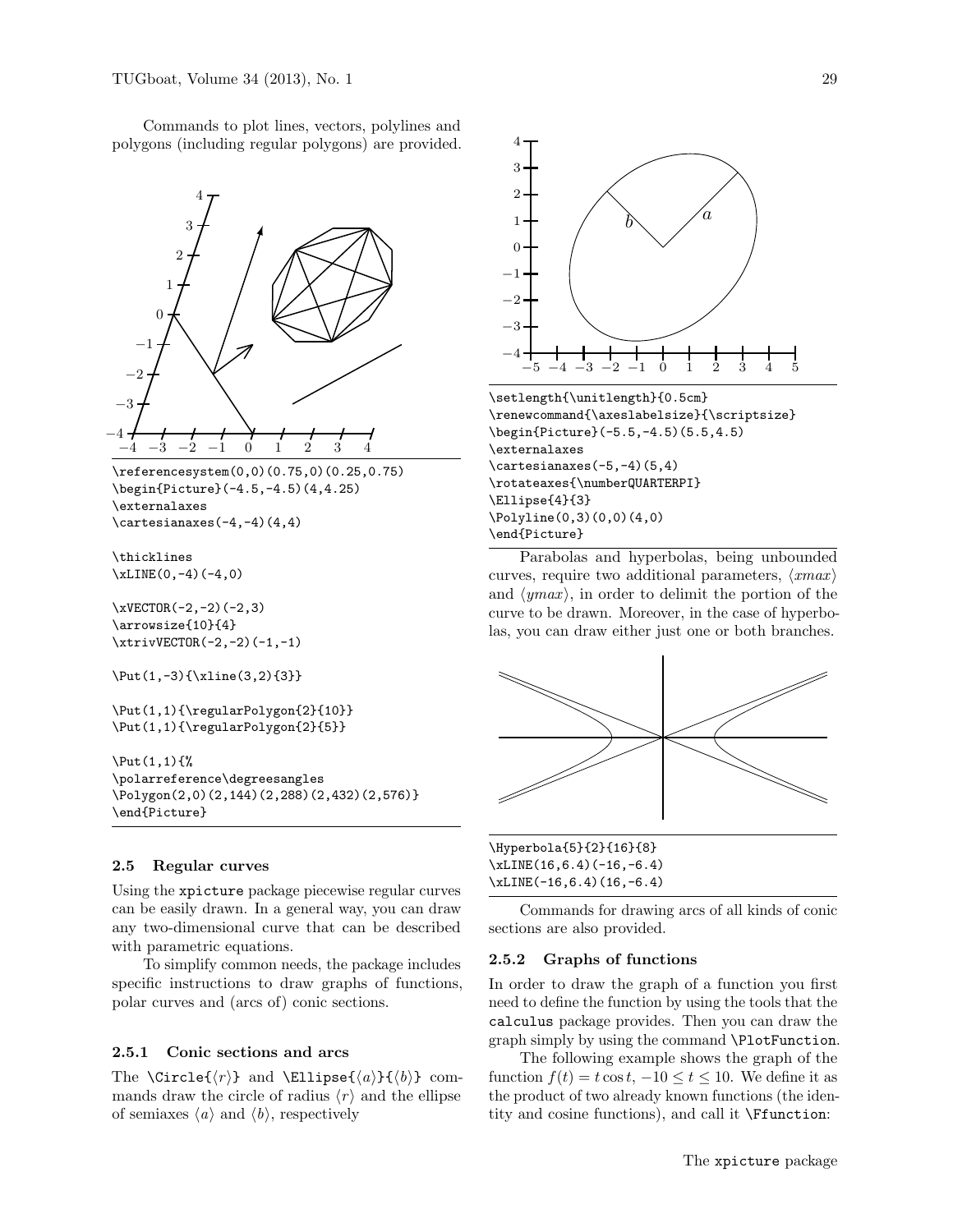Commands to plot lines, vectors, polylines and polygons (including regular polygons) are provided.



\polarreference\degreesangles \Polygon(2,0)(2,144)(2,288)(2,432)(2,576)} \end{Picture}

#### 2.5 Regular curves

Using the xpicture package piecewise regular curves can be easily drawn. In a general way, you can draw any two-dimensional curve that can be described with parametric equations.

To simplify common needs, the package includes specific instructions to draw graphs of functions, polar curves and (arcs of) conic sections.

# 2.5.1 Conic sections and arcs

The  $\Circle\{\langle r \rangle\}$  and  $\Ellipse\{\langle a \rangle\}\{\langle b \rangle\}$  commands draw the circle of radius  $\langle r \rangle$  and the ellipse of semiaxes  $\langle a \rangle$  and  $\langle b \rangle$ , respectively



Parabolas and hyperbolas, being unbounded curves, require two additional parameters,  $\langle xmax \rangle$ and  $\langle ymax \rangle$ , in order to delimit the portion of the curve to be drawn. Moreover, in the case of hyperbolas, you can draw either just one or both branches.



\Hyperbola{5}{2}{16}{8} \xLINE(16,6.4)(-16,-6.4) \xLINE(-16,6.4)(16,-6.4)

Commands for drawing arcs of all kinds of conic sections are also provided.

### 2.5.2 Graphs of functions

In order to draw the graph of a function you first need to define the function by using the tools that the calculus package provides. Then you can draw the graph simply by using the command \PlotFunction.

The following example shows the graph of the function  $f(t) = t \cos t$ ,  $-10 \le t \le 10$ . We define it as the product of two already known functions (the identity and cosine functions), and call it \Ffunction: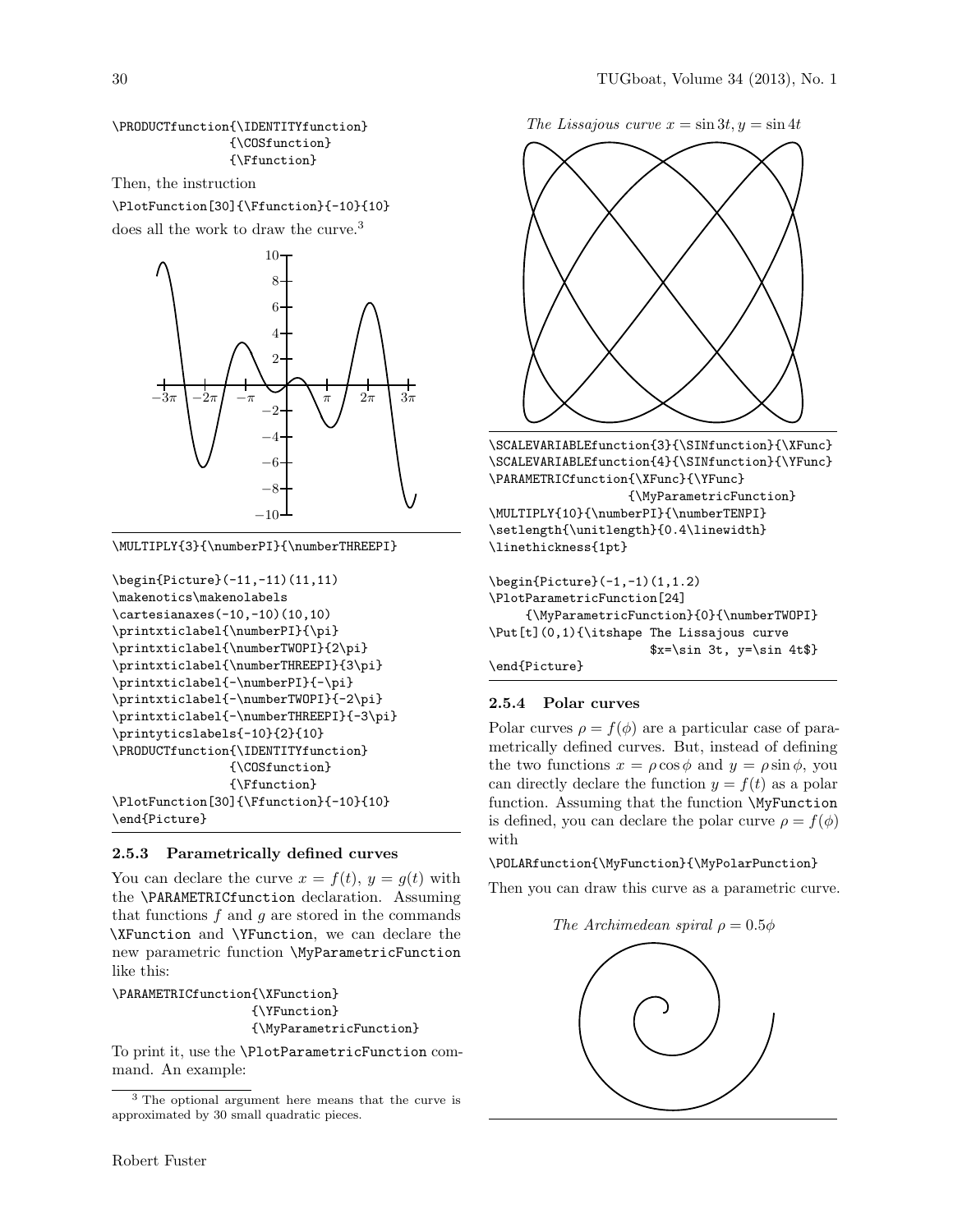# \PRODUCTfunction{\IDENTITYfunction} {\COSfunction} {\Ffunction}

Then, the instruction

\PlotFunction[30]{\Ffunction}{-10}{10} does all the work to draw the curve.<sup>3</sup>



\MULTIPLY{3}{\numberPI}{\numberTHREEPI}

```
\begin{Picture}(-11,-11)(11,11)
\makenotics\makenolabels
\cartesianaxes(-10,-10)(10,10)
\printxticlabel{\numberPI}{\pi}
\printxticlabel{\numberTWOPI}{2\pi}
\printxticlabel{\numberTHREEPI}{3\pi}
\printxticlabel{-\numberPI}{-\pi}
\printxticlabel{-\numberTWOPI}{-2\pi}
\printxticlabel{-\numberTHREEPI}{-3\pi}
\printyticslabels{-10}{2}{10}
\PRODUCTfunction{\IDENTITYfunction}
                {\COSfunction}
                {\Ffunction}
\PlotFunction[30]{\Ffunction}{-10}{10}
\end{Picture}
```
# 2.5.3 Parametrically defined curves

You can declare the curve  $x = f(t)$ ,  $y = g(t)$  with the \PARAMETRICfunction declaration. Assuming that functions  $f$  and  $g$  are stored in the commands \XFunction and \YFunction, we can declare the new parametric function \MyParametricFunction like this:

\PARAMETRICfunction{\XFunction} {\YFunction} {\MyParametricFunction}

To print it, use the \PlotParametricFunction command. An example:

The Lissajous curve  $x = \sin 3t, y = \sin 4t$ 



\SCALEVARIABLEfunction{3}{\SINfunction}{\XFunc} \SCALEVARIABLEfunction{4}{\SINfunction}{\YFunc} \PARAMETRICfunction{\XFunc}{\YFunc}

{\MyParametricFunction} \MULTIPLY{10}{\numberPI}{\numberTENPI} \setlength{\unitlength}{0.4\linewidth} \linethickness{1pt}

\begin{Picture}(-1,-1)(1,1.2) \PlotParametricFunction[24] {\MyParametricFunction}{0}{\numberTWOPI} \Put[t](0,1){\itshape The Lissajous curve \$x=\sin 3t, y=\sin 4t\$} \end{Picture}

# 2.5.4 Polar curves

Polar curves  $\rho = f(\phi)$  are a particular case of parametrically defined curves. But, instead of defining the two functions  $x = \rho \cos \phi$  and  $y = \rho \sin \phi$ , you can directly declare the function  $y = f(t)$  as a polar function. Assuming that the function \MyFunction is defined, you can declare the polar curve  $\rho = f(\phi)$ with

# \POLARfunction{\MyFunction}{\MyPolarPunction}

Then you can draw this curve as a parametric curve.

The Archimedean spiral  $\rho = 0.5\phi$ 



<sup>3</sup> The optional argument here means that the curve is approximated by 30 small quadratic pieces.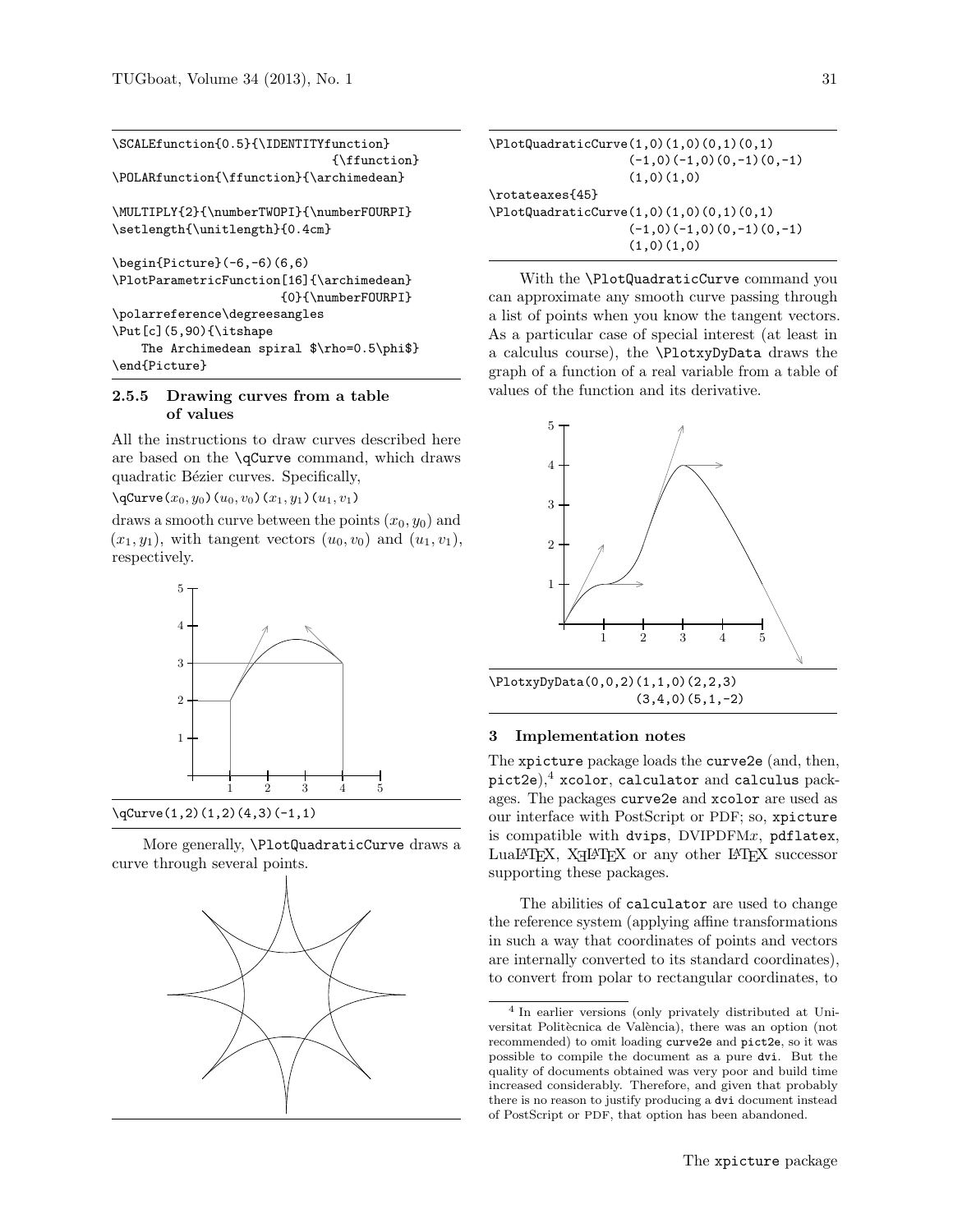| \SCALEfunction{0.5}{\IDENTITYfunction}      |
|---------------------------------------------|
| {\ffunction}                                |
| \POLARfunction{\ffunction}{\archimedean}    |
| \MULTIPLY{2}{\numberTWOPI}{\numberFOURPI}   |
| \setlength{\unitlength}{0.4cm}              |
| $\begin{bmatrix} 6, -6 \end{bmatrix}$ (6,6) |
| \PlotParametricFunction[16]{\archimedean}   |
| {0}{\numberFOURPI}                          |
| \polarreference\degreesangles               |
| $\Put [c] (5, 90) {\it \tishape}$           |
| The Archimedean spiral $\rho=0.5\phi$ ?     |
| \end{Picture}                               |

## 2.5.5 Drawing curves from a table of values

All the instructions to draw curves described here are based on the \qCurve command, which draws quadratic Bézier curves. Specifically,

 $\qquad \qquad (x_0, y_0)(u_0, v_0)(x_1, y_1)(u_1, v_1)$ 

draws a smooth curve between the points  $(x_0, y_0)$  and  $(x_1, y_1)$ , with tangent vectors  $(u_0, v_0)$  and  $(u_1, v_1)$ , respectively.



More generally, \PlotQuadraticCurve draws a curve through several points.



| $\Pi_0(0,1)$ (PlotQuadraticCurve(1,0)(1,0)(0,1)(0,1) |
|------------------------------------------------------|
| $(-1,0)(-1,0)(0,-1)(0,-1)$                           |
| (1,0)(1,0)                                           |
| \rotateaxes{45}                                      |
| $\Pi_0(0,1)$ (0.1) $(0,1)$                           |
| $(-1,0)(-1,0)(0,-1)(0,-1)$                           |
| (1,0)(1,0)                                           |

With the \PlotQuadraticCurve command you can approximate any smooth curve passing through a list of points when you know the tangent vectors. As a particular case of special interest (at least in a calculus course), the \PlotxyDyData draws the graph of a function of a real variable from a table of values of the function and its derivative.



\PlotxyDyData(0,0,2)(1,1,0)(2,2,3) (3,4,0)(5,1,-2)

## 3 Implementation notes

The xpicture package loads the curve2e (and, then, pict2e), $4$  xcolor, calculator and calculus packages. The packages curve2e and xcolor are used as our interface with PostScript or PDF; so, xpicture is compatible with dvips,  $DVIPDFMx$ ,  $pdflatex$ ,  $\textsc{Lual}$  XHM  $\textsc{N}$  any other  $\textsc{IATEX}$  successor supporting these packages.

The abilities of calculator are used to change the reference system (applying affine transformations in such a way that coordinates of points and vectors are internally converted to its standard coordinates), to convert from polar to rectangular coordinates, to

<sup>4</sup> In earlier versions (only privately distributed at Universitat Politècnica de València), there was an option (not recommended) to omit loading curve2e and pict2e, so it was possible to compile the document as a pure dvi. But the quality of documents obtained was very poor and build time increased considerably. Therefore, and given that probably there is no reason to justify producing a dvi document instead of PostScript or PDF, that option has been abandoned.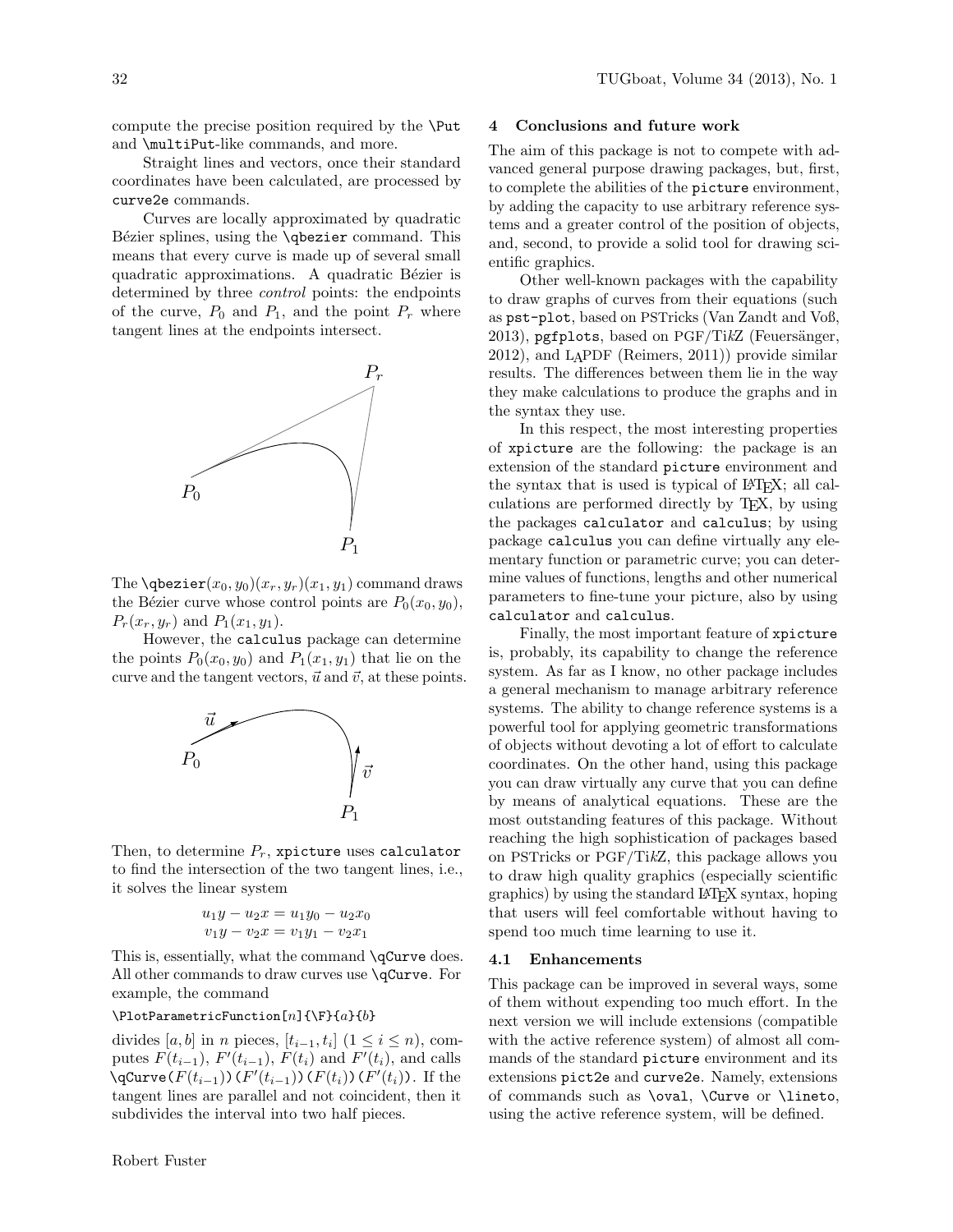compute the precise position required by the \Put and \multiPut-like commands, and more.

Straight lines and vectors, once their standard coordinates have been calculated, are processed by curve2e commands.

Curves are locally approximated by quadratic Bézier splines, using the **\qbezier** command. This means that every curve is made up of several small quadratic approximations. A quadratic Bézier is determined by three control points: the endpoints of the curve,  $P_0$  and  $P_1$ , and the point  $P_r$  where tangent lines at the endpoints intersect.



The **\qbezier** $(x_0, y_0)(x_r, y_r)(x_1, y_1)$  command draws the Bézier curve whose control points are  $P_0(x_0, y_0)$ ,  $P_r(x_r, y_r)$  and  $P_1(x_1, y_1)$ .

However, the calculus package can determine the points  $P_0(x_0, y_0)$  and  $P_1(x_1, y_1)$  that lie on the curve and the tangent vectors,  $\vec{u}$  and  $\vec{v}$ , at these points.



Then, to determine  $P_r$ , xpicture uses calculator to find the intersection of the two tangent lines, i.e., it solves the linear system

$$
u_1y - u_2x = u_1y_0 - u_2x_0
$$
  

$$
v_1y - v_2x = v_1y_1 - v_2x_1
$$

This is, essentially, what the command \qCurve does. All other commands to draw curves use \qCurve. For example, the command

# $\Pi$ otParametricFunction[n]{\F}{a}{b}

divides [a, b] in n pieces, [ $t_{i-1}, t_i$ ] (1 ≤  $i \leq n$ ), computes  $F(t_{i-1}), F'(t_{i-1}), F(t_i)$  and  $F'(t_i)$ , and calls  $\qquad \qquad \setminus \mathsf{qCurve}(F(t_{i-1}))$   $(F'(t_{i-1}))$   $(F(t_i))$   $(F'(t_i))$ . If the tangent lines are parallel and not coincident, then it subdivides the interval into two half pieces.

# 4 Conclusions and future work

The aim of this package is not to compete with advanced general purpose drawing packages, but, first, to complete the abilities of the picture environment, by adding the capacity to use arbitrary reference systems and a greater control of the position of objects, and, second, to provide a solid tool for drawing scientific graphics.

Other well-known packages with the capability to draw graphs of curves from their equations (such as pst-plot, based on PSTricks (Van Zandt and Voß, 2013), pgfplots, based on  $PGF/TikZ$  (Feuersänger, 2012), and LAPDF (Reimers, 2011)) provide similar results. The differences between them lie in the way they make calculations to produce the graphs and in the syntax they use.

In this respect, the most interesting properties of xpicture are the following: the package is an extension of the standard picture environment and the syntax that is used is typical of LAT<sub>EX</sub>; all calculations are performed directly by TEX, by using the packages calculator and calculus; by using package calculus you can define virtually any elementary function or parametric curve; you can determine values of functions, lengths and other numerical parameters to fine-tune your picture, also by using calculator and calculus.

Finally, the most important feature of xpicture is, probably, its capability to change the reference system. As far as I know, no other package includes a general mechanism to manage arbitrary reference systems. The ability to change reference systems is a powerful tool for applying geometric transformations of objects without devoting a lot of effort to calculate coordinates. On the other hand, using this package you can draw virtually any curve that you can define by means of analytical equations. These are the most outstanding features of this package. Without reaching the high sophistication of packages based on PSTricks or PGF/TikZ, this package allows you to draw high quality graphics (especially scientific graphics) by using the standard LATEX syntax, hoping that users will feel comfortable without having to spend too much time learning to use it.

### 4.1 Enhancements

This package can be improved in several ways, some of them without expending too much effort. In the next version we will include extensions (compatible with the active reference system) of almost all commands of the standard picture environment and its extensions pict2e and curve2e. Namely, extensions of commands such as \oval, \Curve or \lineto, using the active reference system, will be defined.